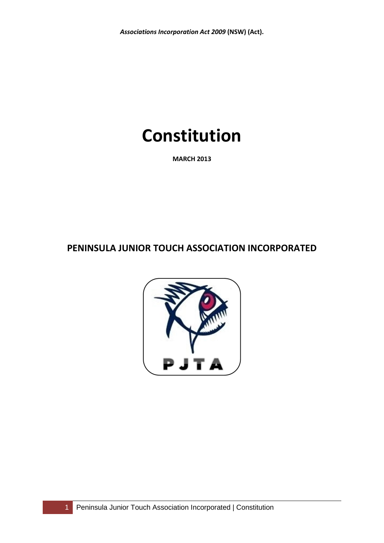# **Constitution**

**MARCH 2013**

**PENINSULA JUNIOR TOUCH ASSOCIATION INCORPORATED**

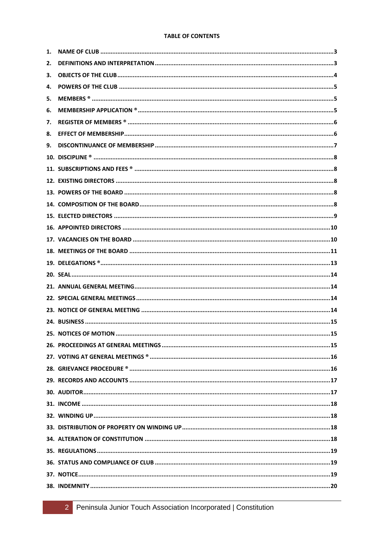# **TABLE OF CONTENTS**

| 1. |  |
|----|--|
| 2. |  |
| з. |  |
| 4. |  |
| 5. |  |
| 6. |  |
| 7. |  |
| 8. |  |
| 9. |  |
|    |  |
|    |  |
|    |  |
|    |  |
|    |  |
|    |  |
|    |  |
|    |  |
|    |  |
|    |  |
|    |  |
|    |  |
|    |  |
|    |  |
|    |  |
|    |  |
|    |  |
|    |  |
|    |  |
|    |  |
|    |  |
|    |  |
|    |  |
|    |  |
|    |  |
|    |  |
|    |  |
|    |  |
|    |  |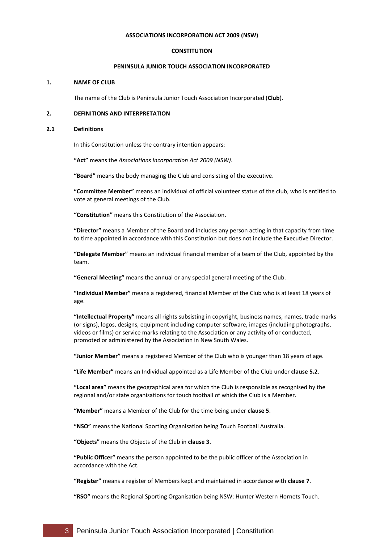#### **ASSOCIATIONS INCORPORATION ACT 2009 (NSW)**

#### **CONSTITUTION**

# **PENINSULA JUNIOR TOUCH ASSOCIATION INCORPORATED**

# <span id="page-2-0"></span>**1. NAME OF CLUB**

The name of the Club is Peninsula Junior Touch Association Incorporated (**Club**).

#### <span id="page-2-1"></span>**2. DEFINITIONS AND INTERPRETATION**

#### **2.1 Definitions**

In this Constitution unless the contrary intention appears:

**"Act"** means the *Associations Incorporation Act 2009 (NSW)*.

**"Board"** means the body managing the Club and consisting of the executive.

**"Committee Member"** means an individual of official volunteer status of the club, who is entitled to vote at general meetings of the Club.

**"Constitution"** means this Constitution of the Association.

**"Director"** means a Member of the Board and includes any person acting in that capacity from time to time appointed in accordance with this Constitution but does not include the Executive Director.

**"Delegate Member"** means an individual financial member of a team of the Club, appointed by the team.

**"General Meeting"** means the annual or any special general meeting of the Club.

**"Individual Member"** means a registered, financial Member of the Club who is at least 18 years of age.

**"Intellectual Property"** means all rights subsisting in copyright, business names, names, trade marks (or signs), logos, designs, equipment including computer software, images (including photographs, videos or films) or service marks relating to the Association or any activity of or conducted, promoted or administered by the Association in New South Wales.

**"Junior Member"** means a registered Member of the Club who is younger than 18 years of age.

**"Life Member"** means an Individual appointed as a Life Member of the Club under **clause [5.2](#page-4-3)**.

**"Local area"** means the geographical area for which the Club is responsible as recognised by the regional and/or state organisations for touch football of which the Club is a Member.

**"Member"** means a Member of the Club for the time being under **clause 5**.

**"NSO"** means the National Sporting Organisation being Touch Football Australia.

**"Objects"** means the Objects of the Club in **clause 3**.

**"Public Officer"** means the person appointed to be the public officer of the Association in accordance with the Act.

**"Register"** means a register of Members kept and maintained in accordance with **claus[e 7](#page-5-0)**.

**"RSO"** means the Regional Sporting Organisation being NSW: Hunter Western Hornets Touch.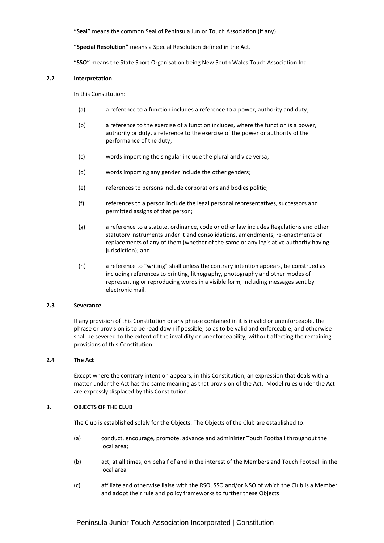**"Seal"** means the common Seal of Peninsula Junior Touch Association (if any).

**"Special Resolution"** means a Special Resolution defined in the Act.

**"SSO"** means the State Sport Organisation being New South Wales Touch Association Inc.

#### **2.2 Interpretation**

In this Constitution:

- (a) a reference to a function includes a reference to a power, authority and duty;
- (b) a reference to the exercise of a function includes, where the function is a power, authority or duty, a reference to the exercise of the power or authority of the performance of the duty;
- (c) words importing the singular include the plural and vice versa;
- (d) words importing any gender include the other genders;
- (e) references to persons include corporations and bodies politic;
- (f) references to a person include the legal personal representatives, successors and permitted assigns of that person;
- (g) a reference to a statute, ordinance, code or other law includes Regulations and other statutory instruments under it and consolidations, amendments, re-enactments or replacements of any of them (whether of the same or any legislative authority having jurisdiction); and
- (h) a reference to "writing" shall unless the contrary intention appears, be construed as including references to printing, lithography, photography and other modes of representing or reproducing words in a visible form, including messages sent by electronic mail.

#### **2.3 Severance**

If any provision of this Constitution or any phrase contained in it is invalid or unenforceable, the phrase or provision is to be read down if possible, so as to be valid and enforceable, and otherwise shall be severed to the extent of the invalidity or unenforceability, without affecting the remaining provisions of this Constitution.

# **2.4 The Act**

Except where the contrary intention appears, in this Constitution, an expression that deals with a matter under the Act has the same meaning as that provision of the Act. Model rules under the Act are expressly displaced by this Constitution.

# <span id="page-3-0"></span>**3. OBJECTS OF THE CLUB**

The Club is established solely for the Objects. The Objects of the Club are established to:

- (a) conduct, encourage, promote, advance and administer Touch Football throughout the local area;
- (b) act, at all times, on behalf of and in the interest of the Members and Touch Football in the local area
- (c) affiliate and otherwise liaise with the RSO, SSO and/or NSO of which the Club is a Member and adopt their rule and policy frameworks to further these Objects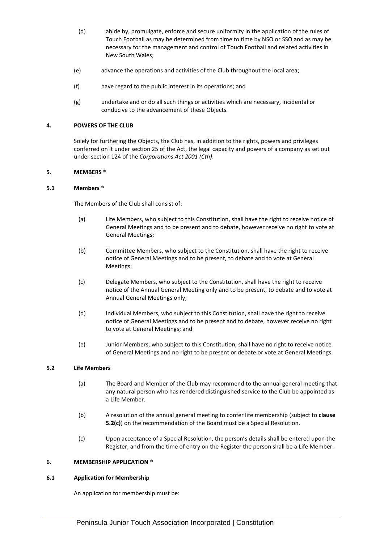- (d) abide by, promulgate, enforce and secure uniformity in the application of the rules of Touch Football as may be determined from time to time by NSO or SSO and as may be necessary for the management and control of Touch Football and related activities in New South Wales;
- (e) advance the operations and activities of the Club throughout the local area;
- (f) have regard to the public interest in its operations; and
- (g) undertake and or do all such things or activities which are necessary, incidental or conducive to the advancement of these Objects.

# <span id="page-4-0"></span>**4. POWERS OF THE CLUB**

Solely for furthering the Objects, the Club has, in addition to the rights, powers and privileges conferred on it under section 25 of the Act, the legal capacity and powers of a company as set out under section 124 of the *Corporations Act 2001 (Cth)*.

#### <span id="page-4-1"></span>**5. MEMBERS ®**

#### <span id="page-4-5"></span>**5.1 Members ®**

The Members of the Club shall consist of:

- (a) Life Members, who subject to this Constitution, shall have the right to receive notice of General Meetings and to be present and to debate, however receive no right to vote at General Meetings;
- (b) Committee Members, who subject to the Constitution, shall have the right to receive notice of General Meetings and to be present, to debate and to vote at General Meetings;
- (c) Delegate Members, who subject to the Constitution, shall have the right to receive notice of the Annual General Meeting only and to be present, to debate and to vote at Annual General Meetings only;
- (d) Individual Members, who subject to this Constitution, shall have the right to receive notice of General Meetings and to be present and to debate, however receive no right to vote at General Meetings; and
- (e) Junior Members, who subject to this Constitution, shall have no right to receive notice of General Meetings and no right to be present or debate or vote at General Meetings.

# <span id="page-4-3"></span>**5.2 Life Members**

- (a) The Board and Member of the Club may recommend to the annual general meeting that any natural person who has rendered distinguished service to the Club be appointed as a Life Member.
- (b) A resolution of the annual general meeting to confer life membership (subject to **clause [5.2\(](#page-4-3)c)**) on the recommendation of the Board must be a Special Resolution.
- (c) Upon acceptance of a Special Resolution, the person's details shall be entered upon the Register, and from the time of entry on the Register the person shall be a Life Member.

# <span id="page-4-2"></span>**6. MEMBERSHIP APPLICATION ®**

# <span id="page-4-4"></span>**6.1 Application for Membership**

An application for membership must be: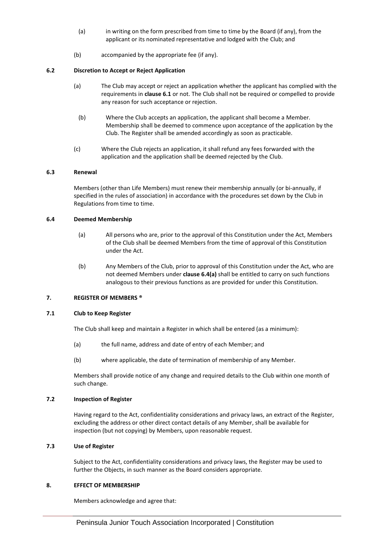- (a) in writing on the form prescribed from time to time by the Board (if any), from the applicant or its nominated representative and lodged with the Club; and
- (b) accompanied by the appropriate fee (if any).

# **6.2 Discretion to Accept or Reject Application**

- (a) The Club may accept or reject an application whether the applicant has complied with the requirements in **claus[e 6.1](#page-4-4)** or not. The Club shall not be required or compelled to provide any reason for such acceptance or rejection.
	- (b) Where the Club accepts an application, the applicant shall become a Member. Membership shall be deemed to commence upon acceptance of the application by the Club. The Register shall be amended accordingly as soon as practicable.
- (c) Where the Club rejects an application, it shall refund any fees forwarded with the application and the application shall be deemed rejected by the Club.

# **6.3 Renewal**

Members (other than Life Members) must renew their membership annually (or bi-annually, if specified in the rules of association) in accordance with the procedures set down by the Club in Regulations from time to time.

# <span id="page-5-2"></span>**6.4 Deemed Membership**

- (a) All persons who are, prior to the approval of this Constitution under the Act, Members of the Club shall be deemed Members from the time of approval of this Constitution under the Act.
- (b) Any Members of the Club, prior to approval of this Constitution under the Act, who are not deemed Members under **clause [6.4\(a\)](#page-5-2)** shall be entitled to carry on such functions analogous to their previous functions as are provided for under this Constitution.

# <span id="page-5-0"></span>**7. REGISTER OF MEMBERS ®**

# **7.1 Club to Keep Register**

The Club shall keep and maintain a Register in which shall be entered (as a minimum):

- (a) the full name, address and date of entry of each Member; and
- (b) where applicable, the date of termination of membership of any Member.

Members shall provide notice of any change and required details to the Club within one month of such change.

# **7.2 Inspection of Register**

Having regard to the Act, confidentiality considerations and privacy laws, an extract of the Register, excluding the address or other direct contact details of any Member, shall be available for inspection (but not copying) by Members, upon reasonable request.

# **7.3 Use of Register**

Subject to the Act, confidentiality considerations and privacy laws, the Register may be used to further the Objects, in such manner as the Board considers appropriate.

# <span id="page-5-1"></span>**8. EFFECT OF MEMBERSHIP**

Members acknowledge and agree that: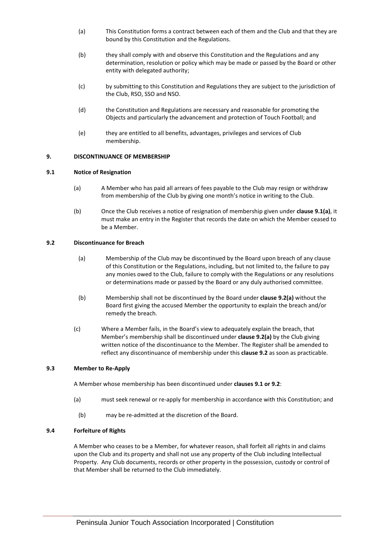- (a) This Constitution forms a contract between each of them and the Club and that they are bound by this Constitution and the Regulations.
- (b) they shall comply with and observe this Constitution and the Regulations and any determination, resolution or policy which may be made or passed by the Board or other entity with delegated authority;
- (c) by submitting to this Constitution and Regulations they are subject to the jurisdiction of the Club, RSO, SSO and NSO.
- (d) the Constitution and Regulations are necessary and reasonable for promoting the Objects and particularly the advancement and protection of Touch Football; and
- (e) they are entitled to all benefits, advantages, privileges and services of Club membership.

# <span id="page-6-0"></span>**9. DISCONTINUANCE OF MEMBERSHIP**

#### <span id="page-6-1"></span>**9.1 Notice of Resignation**

- (a) A Member who has paid all arrears of fees payable to the Club may resign or withdraw from membership of the Club by giving one month's notice in writing to the Club.
- (b) Once the Club receives a notice of resignation of membership given under **claus[e 9.1\(a\)](#page-6-1)**, it must make an entry in the Register that records the date on which the Member ceased to be a Member.

#### <span id="page-6-2"></span>**9.2 Discontinuance for Breach**

- (a) Membership of the Club may be discontinued by the Board upon breach of any clause of this Constitution or the Regulations, including, but not limited to, the failure to pay any monies owed to the Club, failure to comply with the Regulations or any resolutions or determinations made or passed by the Board or any duly authorised committee.
- (b) Membership shall not be discontinued by the Board under **claus[e 9.2\(a\)](#page-6-2)** without the Board first giving the accused Member the opportunity to explain the breach and/or remedy the breach.
- (c) Where a Member fails, in the Board's view to adequately explain the breach, that Member's membership shall be discontinued under **claus[e 9.2\(a\)](#page-6-2)** by the Club giving written notice of the discontinuance to the Member. The Register shall be amended to reflect any discontinuance of membership under this **clause 9.2** as soon as practicable.

#### **9.3 Member to Re-Apply**

A Member whose membership has been discontinued under **clauses [9.1](#page-6-1) o[r 9.2](#page-6-2)**:

- (a) must seek renewal or re-apply for membership in accordance with this Constitution; and
	- (b) may be re-admitted at the discretion of the Board.

#### **9.4 Forfeiture of Rights**

A Member who ceases to be a Member, for whatever reason, shall forfeit all rights in and claims upon the Club and its property and shall not use any property of the Club including Intellectual Property. Any Club documents, records or other property in the possession, custody or control of that Member shall be returned to the Club immediately.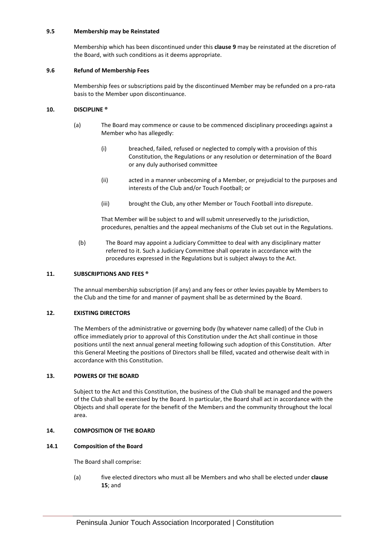#### **9.5 Membership may be Reinstated**

Membership which has been discontinued under this **clause [9](#page-6-0)** may be reinstated at the discretion of the Board, with such conditions as it deems appropriate.

#### **9.6 Refund of Membership Fees**

Membership fees or subscriptions paid by the discontinued Member may be refunded on a pro-rata basis to the Member upon discontinuance.

# <span id="page-7-0"></span>**10. DISCIPLINE ®**

- (a) The Board may commence or cause to be commenced disciplinary proceedings against a Member who has allegedly:
	- (i) breached, failed, refused or neglected to comply with a provision of this Constitution, the Regulations or any resolution or determination of the Board or any duly authorised committee
	- (ii) acted in a manner unbecoming of a Member, or prejudicial to the purposes and interests of the Club and/or Touch Football; or
	- (iii) brought the Club, any other Member or Touch Football into disrepute.

That Member will be subject to and will submit unreservedly to the jurisdiction, procedures, penalties and the appeal mechanisms of the Club set out in the Regulations.

(b) The Board may appoint a Judiciary Committee to deal with any disciplinary matter referred to it. Such a Judiciary Committee shall operate in accordance with the procedures expressed in the Regulations but is subject always to the Act.

#### <span id="page-7-1"></span>**11. SUBSCRIPTIONS AND FEES ®**

The annual membership subscription (if any) and any fees or other levies payable by Members to the Club and the time for and manner of payment shall be as determined by the Board.

# <span id="page-7-2"></span>**12. EXISTING DIRECTORS**

The Members of the administrative or governing body (by whatever name called) of the Club in office immediately prior to approval of this Constitution under the Act shall continue in those positions until the next annual general meeting following such adoption of this Constitution. After this General Meeting the positions of Directors shall be filled, vacated and otherwise dealt with in accordance with this Constitution.

#### <span id="page-7-3"></span>**13. POWERS OF THE BOARD**

Subject to the Act and this Constitution, the business of the Club shall be managed and the powers of the Club shall be exercised by the Board. In particular, the Board shall act in accordance with the Objects and shall operate for the benefit of the Members and the community throughout the local area.

#### <span id="page-7-4"></span>**14. COMPOSITION OF THE BOARD**

#### **14.1 Composition of the Board**

The Board shall comprise:

(a) five elected directors who must all be Members and who shall be elected under **clause [15](#page-8-0)**; and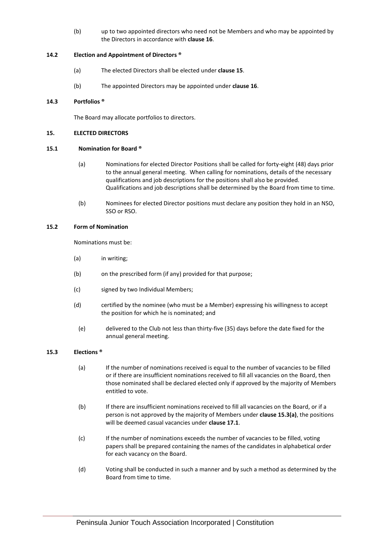(b) up to two appointed directors who need not be Members and who may be appointed by the Directors in accordance with **claus[e 16](#page-9-0)**.

# **14.2 Election and Appointment of Directors ®**

- (a) The elected Directors shall be elected under **claus[e 15](#page-8-0)**.
- (b) The appointed Directors may be appointed under **clause 16**.

# **14.3 Portfolios ®**

The Board may allocate portfolios to directors.

# <span id="page-8-0"></span>**15. ELECTED DIRECTORS**

# **15.1 Nomination for Board ®**

- (a) Nominations for elected Director Positions shall be called for forty-eight (48) days prior to the annual general meeting. When calling for nominations, details of the necessary qualifications and job descriptions for the positions shall also be provided. Qualifications and job descriptions shall be determined by the Board from time to time.
- (b) Nominees for elected Director positions must declare any position they hold in an NSO, SSO or RSO.

# **15.2 Form of Nomination**

Nominations must be:

- (a) in writing;
- (b) on the prescribed form (if any) provided for that purpose;
- (c) signed by two Individual Members;
- (d) certified by the nominee (who must be a Member) expressing his willingness to accept the position for which he is nominated; and
- (e) delivered to the Club not less than thirty-five (35) days before the date fixed for the annual general meeting.

# <span id="page-8-1"></span>**15.3 Elections ®**

- (a) If the number of nominations received is equal to the number of vacancies to be filled or if there are insufficient nominations received to fill all vacancies on the Board, then those nominated shall be declared elected only if approved by the majority of Members entitled to vote.
- (b) If there are insufficient nominations received to fill all vacancies on the Board, or if a person is not approved by the majority of Members under **clause [15.3\(a\)](#page-8-1)**, the positions will be deemed casual vacancies under **clause [17.1](#page-9-2)**.
- (c) If the number of nominations exceeds the number of vacancies to be filled, voting papers shall be prepared containing the names of the candidates in alphabetical order for each vacancy on the Board.
- (d) Voting shall be conducted in such a manner and by such a method as determined by the Board from time to time.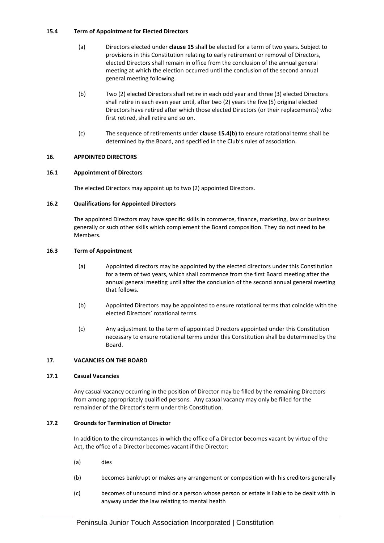# <span id="page-9-3"></span>**15.4 Term of Appointment for Elected Directors**

- (a) Directors elected under **claus[e 15](#page-8-0)** shall be elected for a term of two years. Subject to provisions in this Constitution relating to early retirement or removal of Directors, elected Directors shall remain in office from the conclusion of the annual general meeting at which the election occurred until the conclusion of the second annual general meeting following.
- (b) Two (2) elected Directors shall retire in each odd year and three (3) elected Directors shall retire in each even year until, after two (2) years the five (5) original elected Directors have retired after which those elected Directors (or their replacements) who first retired, shall retire and so on.
- (c) The sequence of retirements under **claus[e 15.4\(b\)](#page-9-3)** to ensure rotational terms shall be determined by the Board, and specified in the Club's rules of association.

# <span id="page-9-0"></span>**16. APPOINTED DIRECTORS**

# **16.1 Appointment of Directors**

The elected Directors may appoint up to two (2) appointed Directors.

# **16.2 Qualifications for Appointed Directors**

The appointed Directors may have specific skills in commerce, finance, marketing, law or business generally or such other skills which complement the Board composition. They do not need to be Members.

# **16.3 Term of Appointment**

- (a) Appointed directors may be appointed by the elected directors under this Constitution for a term of two years, which shall commence from the first Board meeting after the annual general meeting until after the conclusion of the second annual general meeting that follows.
- (b) Appointed Directors may be appointed to ensure rotational terms that coincide with the elected Directors' rotational terms.
- (c) Any adjustment to the term of appointed Directors appointed under this Constitution necessary to ensure rotational terms under this Constitution shall be determined by the Board.

# <span id="page-9-1"></span>**17. VACANCIES ON THE BOARD**

# <span id="page-9-2"></span>**17.1 Casual Vacancies**

Any casual vacancy occurring in the position of Director may be filled by the remaining Directors from among appropriately qualified persons. Any casual vacancy may only be filled for the remainder of the Director's term under this Constitution.

# **17.2 Grounds for Termination of Director**

In addition to the circumstances in which the office of a Director becomes vacant by virtue of the Act, the office of a Director becomes vacant if the Director:

- (a) dies
- (b) becomes bankrupt or makes any arrangement or composition with his creditors generally
- (c) becomes of unsound mind or a person whose person or estate is liable to be dealt with in anyway under the law relating to mental health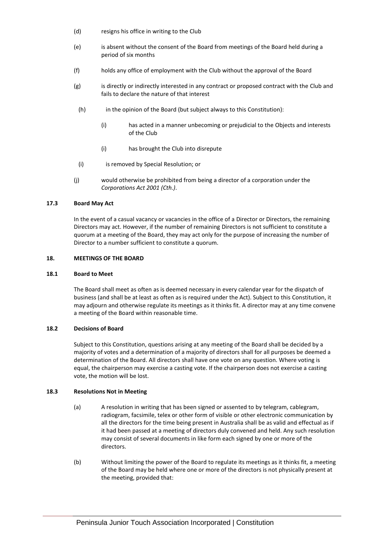- (d) resigns his office in writing to the Club
- (e) is absent without the consent of the Board from meetings of the Board held during a period of six months
- (f) holds any office of employment with the Club without the approval of the Board
- (g) is directly or indirectly interested in any contract or proposed contract with the Club and fails to declare the nature of that interest
	- (h) in the opinion of the Board (but subject always to this Constitution):
		- (i) has acted in a manner unbecoming or prejudicial to the Objects and interests of the Club
		- (i) has brought the Club into disrepute
- (i) is removed by Special Resolution; or
- (j) would otherwise be prohibited from being a director of a corporation under the *Corporations Act 2001 (Cth.)*.

# **17.3 Board May Act**

In the event of a casual vacancy or vacancies in the office of a Director or Directors, the remaining Directors may act. However, if the number of remaining Directors is not sufficient to constitute a quorum at a meeting of the Board, they may act only for the purpose of increasing the number of Director to a number sufficient to constitute a quorum.

# <span id="page-10-0"></span>**18. MEETINGS OF THE BOARD**

# **18.1 Board to Meet**

The Board shall meet as often as is deemed necessary in every calendar year for the dispatch of business (and shall be at least as often as is required under the Act). Subject to this Constitution, it may adjourn and otherwise regulate its meetings as it thinks fit. A director may at any time convene a meeting of the Board within reasonable time.

# **18.2 Decisions of Board**

Subject to this Constitution, questions arising at any meeting of the Board shall be decided by a majority of votes and a determination of a majority of directors shall for all purposes be deemed a determination of the Board. All directors shall have one vote on any question. Where voting is equal, the chairperson may exercise a casting vote. If the chairperson does not exercise a casting vote, the motion will be lost.

# **18.3 Resolutions Not in Meeting**

- (a) A resolution in writing that has been signed or assented to by telegram, cablegram, radiogram, facsimile, telex or other form of visible or other electronic communication by all the directors for the time being present in Australia shall be as valid and effectual as if it had been passed at a meeting of directors duly convened and held. Any such resolution may consist of several documents in like form each signed by one or more of the directors.
- <span id="page-10-1"></span>(b) Without limiting the power of the Board to regulate its meetings as it thinks fit, a meeting of the Board may be held where one or more of the directors is not physically present at the meeting, provided that: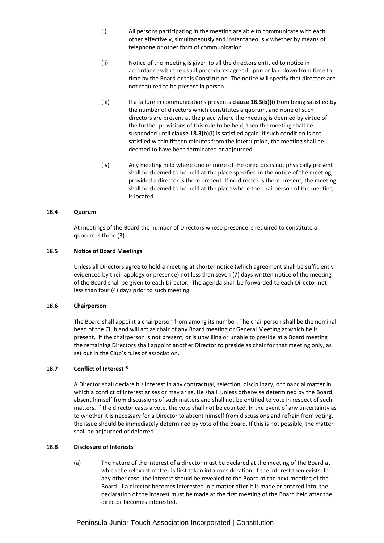- (i) All persons participating in the meeting are able to communicate with each other effectively, simultaneously and instantaneously whether by means of telephone or other form of communication.
- (ii) Notice of the meeting is given to all the directors entitled to notice in accordance with the usual procedures agreed upon or laid down from time to time by the Board or this Constitution. The notice will specify that directors are not required to be present in person.
- (iii) If a failure in communications prevents **clause 18.[3\(b\)\(i\)](#page-10-1)** from being satisfied by the number of directors which constitutes a quorum, and none of such directors are present at the place where the meeting is deemed by virtue of the further provisions of this rule to be held, then the meeting shall be suspended until **clause 18.[3\(b\)\(i\)](#page-10-1)** is satisfied again. If such condition is not satisfied within fifteen minutes from the interruption, the meeting shall be deemed to have been terminated or adjourned.
- (iv) Any meeting held where one or more of the directors is not physically present shall be deemed to be held at the place specified in the notice of the meeting, provided a director is there present. If no director is there present, the meeting shall be deemed to be held at the place where the chairperson of the meeting is located.

# **18.4 Quorum**

At meetings of the Board the number of Directors whose presence is required to constitute a quorum is three (3).

#### **18.5 Notice of Board Meetings**

Unless all Directors agree to hold a meeting at shorter notice (which agreement shall be sufficiently evidenced by their apology or presence) not less than seven (7) days written notice of the meeting of the Board shall be given to each Director. The agenda shall be forwarded to each Director not less than four (4) days prior to such meeting.

#### **18.6 Chairperson**

The Board shall appoint a chairperson from among its number. The chairperson shall be the nominal head of the Club and will act as chair of any Board meeting or General Meeting at which he is present. If the chairperson is not present, or is unwilling or unable to preside at a Board meeting the remaining Directors shall appoint another Director to preside as chair for that meeting only, as set out in the Club's rules of association.

# **18.7 Conflict of Interest ®**

A Director shall declare his interest in any contractual, selection, disciplinary, or financial matter in which a conflict of interest arises or may arise. He shall, unless otherwise determined by the Board, absent himself from discussions of such matters and shall not be entitled to vote in respect of such matters. If the director casts a vote, the vote shall not be counted. In the event of any uncertainty as to whether it is necessary for a Director to absent himself from discussions and refrain from voting, the issue should be immediately determined by vote of the Board. If this is not possible, the matter shall be adjourned or deferred.

# <span id="page-11-0"></span>**18.8 Disclosure of Interests**

(a) The nature of the interest of a director must be declared at the meeting of the Board at which the relevant matter is first taken into consideration, if the interest then exists. In any other case, the interest should be revealed to the Board at the next meeting of the Board. If a director becomes interested in a matter after it is made or entered into, the declaration of the interest must be made at the first meeting of the Board held after the director becomes interested.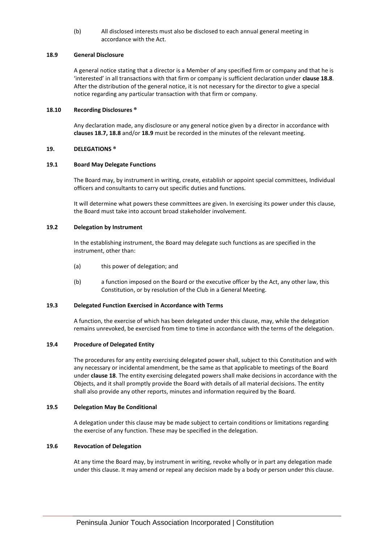(b) All disclosed interests must also be disclosed to each annual general meeting in accordance with the Act.

# <span id="page-12-1"></span>**18.9 General Disclosure**

A general notice stating that a director is a Member of any specified firm or company and that he is 'interested' in all transactions with that firm or company is sufficient declaration under **claus[e 18.8](#page-11-0)**. After the distribution of the general notice, it is not necessary for the director to give a special notice regarding any particular transaction with that firm or company.

#### **18.10 Recording Disclosures ®**

Any declaration made, any disclosure or any general notice given by a director in accordance with **clauses 18.7[, 18.8](#page-11-0)** and/or **[18.9](#page-12-1)** must be recorded in the minutes of the relevant meeting.

#### <span id="page-12-0"></span>**19. DELEGATIONS ®**

#### **19.1 Board May Delegate Functions**

The Board may, by instrument in writing, create, establish or appoint special committees, Individual officers and consultants to carry out specific duties and functions.

It will determine what powers these committees are given. In exercising its power under this clause, the Board must take into account broad stakeholder involvement.

#### **19.2 Delegation by Instrument**

In the establishing instrument, the Board may delegate such functions as are specified in the instrument, other than:

- (a) this power of delegation; and
- (b) a function imposed on the Board or the executive officer by the Act, any other law, this Constitution, or by resolution of the Club in a General Meeting.

#### **19.3 Delegated Function Exercised in Accordance with Terms**

A function, the exercise of which has been delegated under this clause, may, while the delegation remains unrevoked, be exercised from time to time in accordance with the terms of the delegation.

#### **19.4 Procedure of Delegated Entity**

The procedures for any entity exercising delegated power shall, subject to this Constitution and with any necessary or incidental amendment, be the same as that applicable to meetings of the Board under **claus[e 18](#page-10-0)**. The entity exercising delegated powers shall make decisions in accordance with the Objects, and it shall promptly provide the Board with details of all material decisions. The entity shall also provide any other reports, minutes and information required by the Board.

#### **19.5 Delegation May Be Conditional**

A delegation under this clause may be made subject to certain conditions or limitations regarding the exercise of any function. These may be specified in the delegation.

# **19.6 Revocation of Delegation**

At any time the Board may, by instrument in writing, revoke wholly or in part any delegation made under this clause. It may amend or repeal any decision made by a body or person under this clause.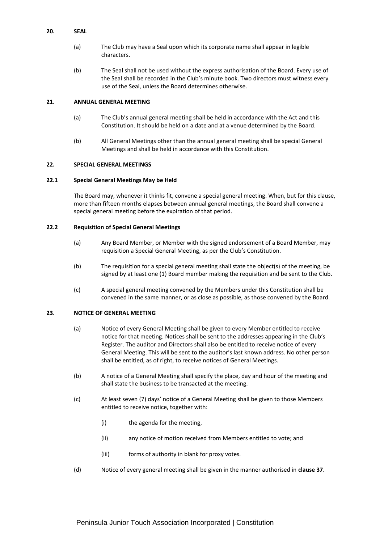# <span id="page-13-0"></span>**20. SEAL**

- (a) The Club may have a Seal upon which its corporate name shall appear in legible characters.
- (b) The Seal shall not be used without the express authorisation of the Board. Every use of the Seal shall be recorded in the Club's minute book. Two directors must witness every use of the Seal, unless the Board determines otherwise.

# <span id="page-13-1"></span>**21. ANNUAL GENERAL MEETING**

- (a) The Club's annual general meeting shall be held in accordance with the Act and this Constitution. It should be held on a date and at a venue determined by the Board.
- (b) All General Meetings other than the annual general meeting shall be special General Meetings and shall be held in accordance with this Constitution.

# <span id="page-13-2"></span>**22. SPECIAL GENERAL MEETINGS**

# **22.1 Special General Meetings May be Held**

The Board may, whenever it thinks fit, convene a special general meeting. When, but for this clause, more than fifteen months elapses between annual general meetings, the Board shall convene a special general meeting before the expiration of that period.

# **22.2 Requisition of Special General Meetings**

- (a) Any Board Member, or Member with the signed endorsement of a Board Member, may requisition a Special General Meeting, as per the Club's Constitution.
- (b) The requisition for a special general meeting shall state the object(s) of the meeting, be signed by at least one (1) Board member making the requisition and be sent to the Club.
- (c) A special general meeting convened by the Members under this Constitution shall be convened in the same manner, or as close as possible, as those convened by the Board.

# <span id="page-13-3"></span>**23. NOTICE OF GENERAL MEETING**

- (a) Notice of every General Meeting shall be given to every Member entitled to receive notice for that meeting. Notices shall be sent to the addresses appearing in the Club's Register. The auditor and Directors shall also be entitled to receive notice of every General Meeting. This will be sent to the auditor's last known address. No other person shall be entitled, as of right, to receive notices of General Meetings.
- (b) A notice of a General Meeting shall specify the place, day and hour of the meeting and shall state the business to be transacted at the meeting.
- (c) At least seven (7) days' notice of a General Meeting shall be given to those Members entitled to receive notice, together with:
	- (i) the agenda for the meeting,
	- (ii) any notice of motion received from Members entitled to vote; and
	- (iii) forms of authority in blank for proxy votes.
- (d) Notice of every general meeting shall be given in the manner authorised in **clause [37](#page-18-2)**.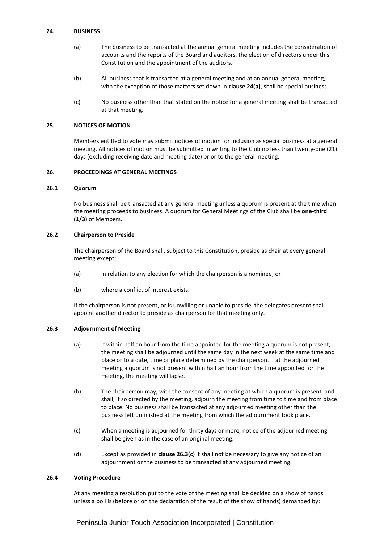## <span id="page-14-0"></span>**24. BUSINESS**

- (a) The business to be transacted at the annual general meeting includes the consideration of accounts and the reports of the Board and auditors, the election of directors under this Constitution and the appointment of the auditors.
- (b) All business that is transacted at a general meeting and at an annual general meeting, with the exception of those matters set down in **clause [24\(a\)](#page-14-0)**, shall be special business.
- (c) No business other than that stated on the notice for a general meeting shall be transacted at that meeting.

#### <span id="page-14-1"></span>**25. NOTICES OF MOTION**

Members entitled to vote may submit notices of motion for inclusion as special business at a general meeting. All notices of motion must be submitted in writing to the Club no less than twenty-one (21) days (excluding receiving date and meeting date) prior to the general meeting.

# <span id="page-14-2"></span>**26. PROCEEDINGS AT GENERAL MEETINGS**

#### **26.1 Quorum**

No business shall be transacted at any general meeting unless a quorum is present at the time when the meeting proceeds to business. A quorum for General Meetings of the Club shall be **one-third (1/3)** of Members.

#### **26.2 Chairperson to Preside**

The chairperson of the Board shall, subject to this Constitution, preside as chair at every general meeting except:

- (a) in relation to any election for which the chairperson is a nominee; or
- (b) where a conflict of interest exists.

If the chairperson is not present, or is unwilling or unable to preside, the delegates present shall appoint another director to preside as chairperson for that meeting only.

#### <span id="page-14-3"></span>**26.3 Adjournment of Meeting**

- (a) If within half an hour from the time appointed for the meeting a quorum is not present, the meeting shall be adjourned until the same day in the next week at the same time and place or to a date, time or place determined by the chairperson. If at the adjourned meeting a quorum is not present within half an hour from the time appointed for the meeting, the meeting will lapse.
- (b) The chairperson may, with the consent of any meeting at which a quorum is present, and shall, if so directed by the meeting, adjourn the meeting from time to time and from place to place. No business shall be transacted at any adjourned meeting other than the business left unfinished at the meeting from which the adjournment took place.
- (c) When a meeting is adjourned for thirty days or more, notice of the adjourned meeting shall be given as in the case of an original meeting.
- (d) Except as provided in **clause [26.3\(c\)](#page-14-3)** it shall not be necessary to give any notice of an adjournment or the business to be transacted at any adjourned meeting.

#### <span id="page-14-4"></span>**26.4 Voting Procedure**

At any meeting a resolution put to the vote of the meeting shall be decided on a show of hands unless a poll is (before or on the declaration of the result of the show of hands) demanded by: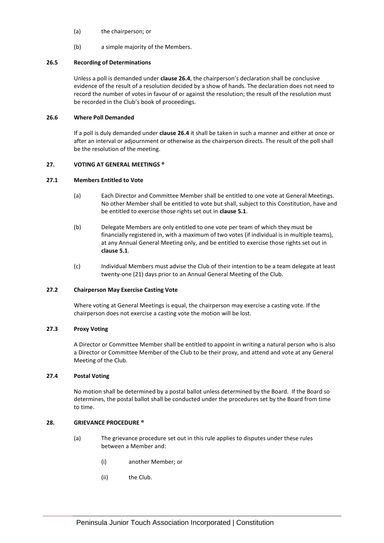- (a) the chairperson; or
- (b) a simple majority of the Members.

#### **26.5 Recording of Determinations**

Unless a poll is demanded under **clause [26.4](#page-14-4)**, the chairperson's declaration shall be conclusive evidence of the result of a resolution decided by a show of hands. The declaration does not need to record the number of votes in favour of or against the resolution; the result of the resolution must be recorded in the Club's book of proceedings.

#### **26.6 Where Poll Demanded**

If a poll is duly demanded under **claus[e 26.4](#page-14-4)** it shall be taken in such a manner and either at once or after an interval or adjournment or otherwise as the chairperson directs. The result of the poll shall be the resolution of the meeting.

#### <span id="page-15-0"></span>**27. VOTING AT GENERAL MEETINGS ®**

# **27.1 Members Entitled to Vote**

- (a) Each Director and Committee Member shall be entitled to one vote at General Meetings. No other Member shall be entitled to vote but shall, subject to this Constitution, have and be entitled to exercise those rights set out in **clause [5.1](#page-4-5)**.
- (b) Delegate Members are only entitled to one vote per team of which they must be financially registered in, with a maximum of two votes (if individual is in multiple teams), at any Annual General Meeting only, and be entitled to exercise those rights set out in **clause [5.1](#page-4-5)**.
- (c) Individual Members must advise the Club of their intention to be a team delegate at least twenty-one (21) days prior to an Annual General Meeting of the Club.

#### **27.2 Chairperson May Exercise Casting Vote**

Where voting at General Meetings is equal, the chairperson may exercise a casting vote. If the chairperson does not exercise a casting vote the motion will be lost.

# <span id="page-15-2"></span>**27.3 Proxy Voting**

A Director or Committee Member shall be entitled to appoint in writing a natural person who is also a Director or Committee Member of the Club to be their proxy, and attend and vote at any General Meeting of the Club.

# **27.4 Postal Voting**

No motion shall be determined by a postal ballot unless determined by the Board. If the Board so determines, the postal ballot shall be conducted under the procedures set by the Board from time to time.

# <span id="page-15-1"></span>**28. GRIEVANCE PROCEDURE ®**

- (a) The grievance procedure set out in this rule applies to disputes under these rules between a Member and:
	- (i) another Member; or
	- (ii) the Club.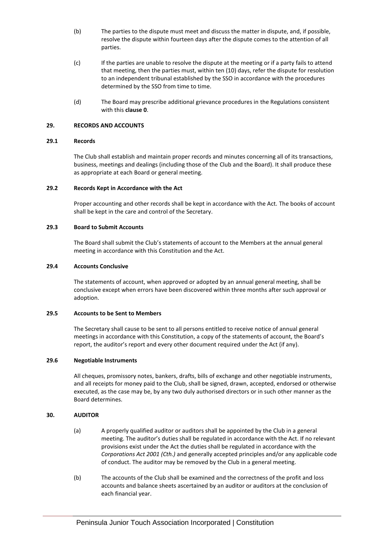- (b) The parties to the dispute must meet and discuss the matter in dispute, and, if possible, resolve the dispute within fourteen days after the dispute comes to the attention of all parties.
- (c) If the parties are unable to resolve the dispute at the meeting or if a party fails to attend that meeting, then the parties must, within ten (10) days, refer the dispute for resolution to an independent tribunal established by the SSO in accordance with the procedures determined by the SSO from time to time.
- (d) The Board may prescribe additional grievance procedures in the Regulations consistent with this **claus[e 0](#page-15-2)**.

# <span id="page-16-0"></span>**29. RECORDS AND ACCOUNTS**

#### **29.1 Records**

The Club shall establish and maintain proper records and minutes concerning all of its transactions, business, meetings and dealings (including those of the Club and the Board). It shall produce these as appropriate at each Board or general meeting.

#### **29.2 Records Kept in Accordance with the Act**

Proper accounting and other records shall be kept in accordance with the Act. The books of account shall be kept in the care and control of the Secretary.

#### **29.3 Board to Submit Accounts**

The Board shall submit the Club's statements of account to the Members at the annual general meeting in accordance with this Constitution and the Act.

## **29.4 Accounts Conclusive**

The statements of account, when approved or adopted by an annual general meeting, shall be conclusive except when errors have been discovered within three months after such approval or adoption.

# **29.5 Accounts to be Sent to Members**

The Secretary shall cause to be sent to all persons entitled to receive notice of annual general meetings in accordance with this Constitution, a copy of the statements of account, the Board's report, the auditor's report and every other document required under the Act (if any).

# **29.6 Negotiable Instruments**

All cheques, promissory notes, bankers, drafts, bills of exchange and other negotiable instruments, and all receipts for money paid to the Club, shall be signed, drawn, accepted, endorsed or otherwise executed, as the case may be, by any two duly authorised directors or in such other manner as the Board determines.

# <span id="page-16-1"></span>**30. AUDITOR**

- (a) A properly qualified auditor or auditors shall be appointed by the Club in a general meeting. The auditor's duties shall be regulated in accordance with the Act. If no relevant provisions exist under the Act the duties shall be regulated in accordance with the *Corporations Act 2001 (Cth.)* and generally accepted principles and/or any applicable code of conduct. The auditor may be removed by the Club in a general meeting.
- (b) The accounts of the Club shall be examined and the correctness of the profit and loss accounts and balance sheets ascertained by an auditor or auditors at the conclusion of each financial year.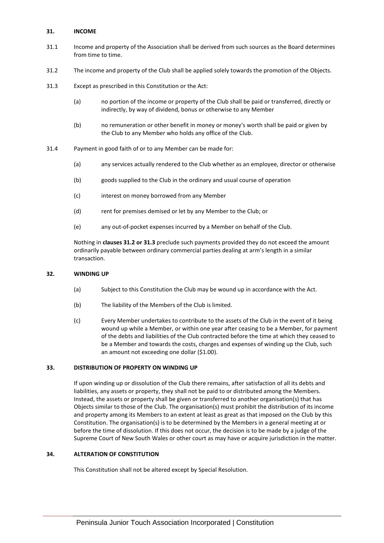# <span id="page-17-0"></span>**31. INCOME**

- 31.1 Income and property of the Association shall be derived from such sources as the Board determines from time to time.
- <span id="page-17-4"></span>31.2 The income and property of the Club shall be applied solely towards the promotion of the Objects.
- <span id="page-17-5"></span>31.3 Except as prescribed in this Constitution or the Act:
	- (a) no portion of the income or property of the Club shall be paid or transferred, directly or indirectly, by way of dividend, bonus or otherwise to any Member
	- (b) no remuneration or other benefit in money or money's worth shall be paid or given by the Club to any Member who holds any office of the Club.
- 31.4 Payment in good faith of or to any Member can be made for:
	- (a) any services actually rendered to the Club whether as an employee, director or otherwise
	- (b) goods supplied to the Club in the ordinary and usual course of operation
	- (c) interest on money borrowed from any Member
	- (d) rent for premises demised or let by any Member to the Club; or
	- (e) any out-of-pocket expenses incurred by a Member on behalf of the Club.

Nothing in **clause[s 31.2](#page-17-4) o[r 31.3](#page-17-5)** preclude such payments provided they do not exceed the amount ordinarily payable between ordinary commercial parties dealing at arm's length in a similar transaction.

# <span id="page-17-1"></span>**32. WINDING UP**

- (a) Subject to this Constitution the Club may be wound up in accordance with the Act.
- (b) The liability of the Members of the Club is limited.
- (c) Every Member undertakes to contribute to the assets of the Club in the event of it being wound up while a Member, or within one year after ceasing to be a Member, for payment of the debts and liabilities of the Club contracted before the time at which they ceased to be a Member and towards the costs, charges and expenses of winding up the Club, such an amount not exceeding one dollar (\$1.00).

# <span id="page-17-2"></span>**33. DISTRIBUTION OF PROPERTY ON WINDING UP**

If upon winding up or dissolution of the Club there remains, after satisfaction of all its debts and liabilities, any assets or property, they shall not be paid to or distributed among the Members. Instead, the assets or property shall be given or transferred to another organisation(s) that has Objects similar to those of the Club. The organisation(s) must prohibit the distribution of its income and property among its Members to an extent at least as great as that imposed on the Club by this Constitution. The organisation(s) is to be determined by the Members in a general meeting at or before the time of dissolution. If this does not occur, the decision is to be made by a judge of the Supreme Court of New South Wales or other court as may have or acquire jurisdiction in the matter.

# <span id="page-17-3"></span>**34. ALTERATION OF CONSTITUTION**

This Constitution shall not be altered except by Special Resolution.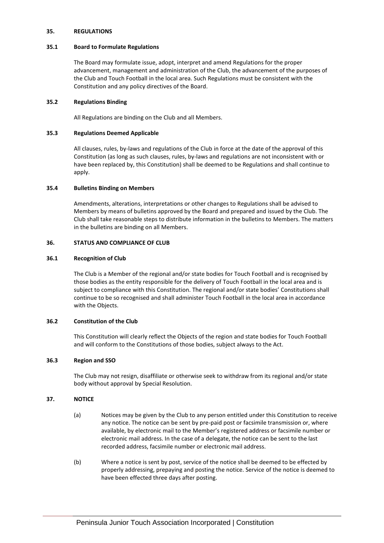#### <span id="page-18-0"></span>**35. REGULATIONS**

# **35.1 Board to Formulate Regulations**

The Board may formulate issue, adopt, interpret and amend Regulations for the proper advancement, management and administration of the Club, the advancement of the purposes of the Club and Touch Football in the local area. Such Regulations must be consistent with the Constitution and any policy directives of the Board.

# **35.2 Regulations Binding**

All Regulations are binding on the Club and all Members.

#### **35.3 Regulations Deemed Applicable**

All clauses, rules, by-laws and regulations of the Club in force at the date of the approval of this Constitution (as long as such clauses, rules, by-laws and regulations are not inconsistent with or have been replaced by, this Constitution) shall be deemed to be Regulations and shall continue to apply.

#### **35.4 Bulletins Binding on Members**

Amendments, alterations, interpretations or other changes to Regulations shall be advised to Members by means of bulletins approved by the Board and prepared and issued by the Club. The Club shall take reasonable steps to distribute information in the bulletins to Members. The matters in the bulletins are binding on all Members.

## <span id="page-18-1"></span>**36. STATUS AND COMPLIANCE OF CLUB**

#### **36.1 Recognition of Club**

The Club is a Member of the regional and/or state bodies for Touch Football and is recognised by those bodies as the entity responsible for the delivery of Touch Football in the local area and is subject to compliance with this Constitution. The regional and/or state bodies' Constitutions shall continue to be so recognised and shall administer Touch Football in the local area in accordance with the Objects.

# **36.2 Constitution of the Club**

This Constitution will clearly reflect the Objects of the region and state bodies for Touch Football and will conform to the Constitutions of those bodies, subject always to the Act.

# **36.3 Region and SSO**

The Club may not resign, disaffiliate or otherwise seek to withdraw from its regional and/or state body without approval by Special Resolution.

# <span id="page-18-2"></span>**37. NOTICE**

- (a) Notices may be given by the Club to any person entitled under this Constitution to receive any notice. The notice can be sent by pre-paid post or facsimile transmission or, where available, by electronic mail to the Member's registered address or facsimile number or electronic mail address. In the case of a delegate, the notice can be sent to the last recorded address, facsimile number or electronic mail address.
- (b) Where a notice is sent by post, service of the notice shall be deemed to be effected by properly addressing, prepaying and posting the notice. Service of the notice is deemed to have been effected three days after posting.